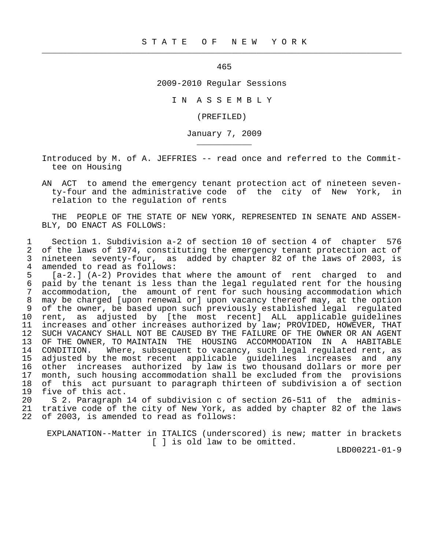465

 $\frac{1}{2}$  , and the contribution of the contribution of the contribution of the contribution of the contribution of the contribution of the contribution of the contribution of the contribution of the contribution of the c

\_\_\_\_\_\_\_\_\_\_\_

2009-2010 Regular Sessions

I N A S S E M B L Y

(PREFILED)

January 7, 2009

 Introduced by M. of A. JEFFRIES -- read once and referred to the Commit tee on Housing

 AN ACT to amend the emergency tenant protection act of nineteen seven ty-four and the administrative code of the city of New York, in relation to the regulation of rents

 THE PEOPLE OF THE STATE OF NEW YORK, REPRESENTED IN SENATE AND ASSEM- BLY, DO ENACT AS FOLLOWS:

 1 Section 1. Subdivision a-2 of section 10 of section 4 of chapter 576 2 of the laws of 1974, constituting the emergency tenant protection act of<br>3 nineteen seventy-four, as added by chapter 82 of the laws of 2003, is 3 nineteen seventy-four, as added by chapter 82 of the laws of 2003, is 4 amended to read as follows:<br>5 [a-2.] (A-2) Provides tha

 5 [a-2.] (A-2) Provides that where the amount of rent charged to and 6 paid by the tenant is less than the legal regulated rent for the housing<br>7 accommodation, the amount of rent for such housing accommodation which accommodation, the amount of rent for such housing accommodation which 8 may be charged [upon renewal or] upon vacancy thereof may, at the option<br>9 of the owner, be based upon such previously established legal regulated 9 of the owner, be based upon such previously established legal regulated<br>10 rent, as adjusted by [the most recent] ALL applicable quidelines 10 rent, as adjusted by [the most recent] ALL applicable guidelines increases and other increases authorized by law; PROVIDED, HOWEVER, THAT 12 SUCH VACANCY SHALL NOT BE CAUSED BY THE FAILURE OF THE OWNER OR AN AGENT<br>13 OF THE OWNER, TO MAINTAIN THE HOUSING ACCOMMODATION IN A HABITABLE OF THE OWNER, TO MAINTAIN THE HOUSING ACCOMMODATION IN A HABITABLE 14 CONDITION. Where, subsequent to vacancy, such legal regulated rent, as<br>15 adjusted by the most recent applicable quidelines increases and any 15 adjusted by the most recent applicable guidelines increases and any<br>16 other increases authorized by law is two thousand dollars or more per 16 other increases authorized by law is two thousand dollars or more per<br>17 month, such housing accommodation shall be excluded from the provisions month, such housing accommodation shall be excluded from the provisions 18 of this act pursuant to paragraph thirteen of subdivision a of section<br>19 five of this act. 19 five of this act.<br>20 S 2. Paragraph

20 S 2. Paragraph 14 of subdivision c of section 26-511 of the adminis-<br>21 trative code of the city of New York, as added by chapter 82 of the laws trative code of the city of New York, as added by chapter 82 of the laws 22 of 2003, is amended to read as follows:

 EXPLANATION--Matter in ITALICS (underscored) is new; matter in brackets [ ] is old law to be omitted.

LBD00221-01-9